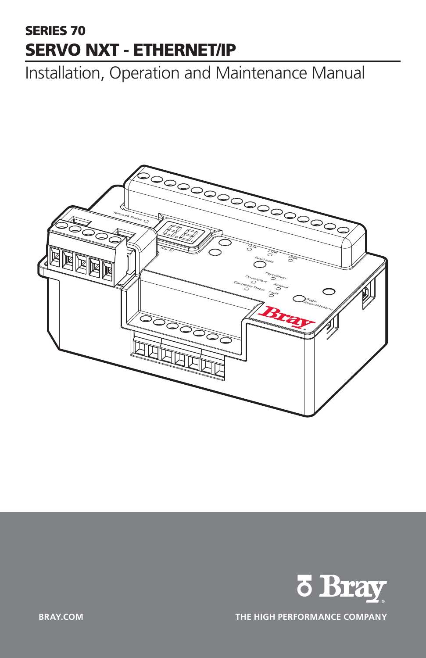# SERIES 70 SERVO NXT - ETHERNET/IP

Installation, Operation and Maintenance Manual





**BRAY.COM THE HIGH PERFORMANCE COMPANY**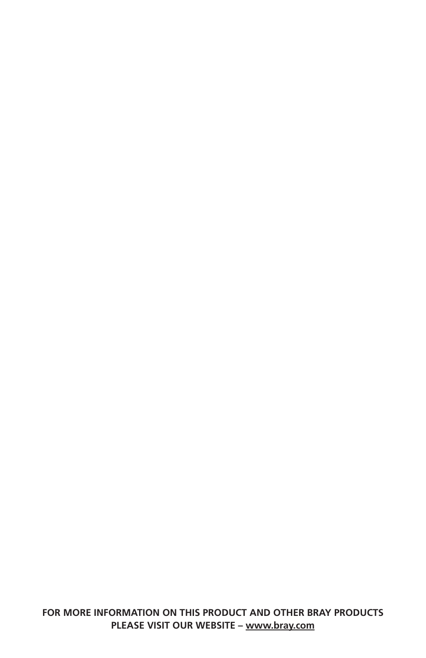**FOR MORE INFORMATION ON THIS PRODUCT AND OTHER BRAY PRODUCTS PLEASE VISIT OUR WEBSITE – [www.bray.com](http://www.bray.com)**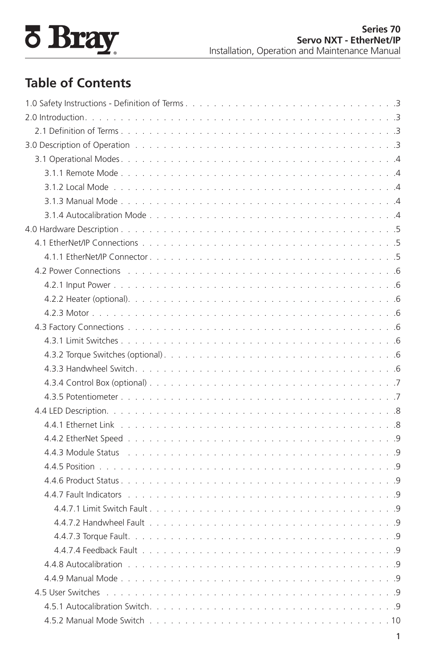

# **Table of Contents**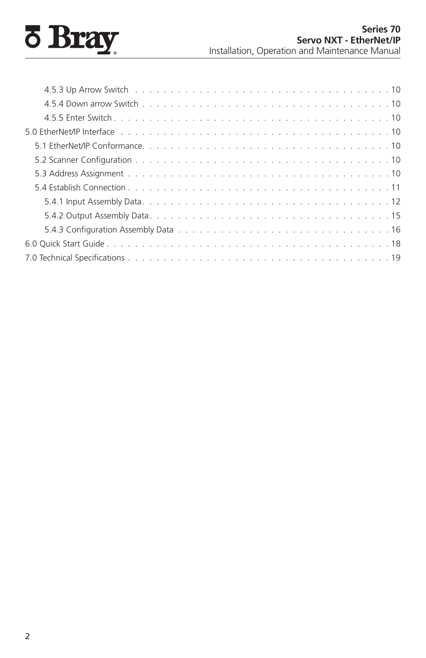# **8 Bray**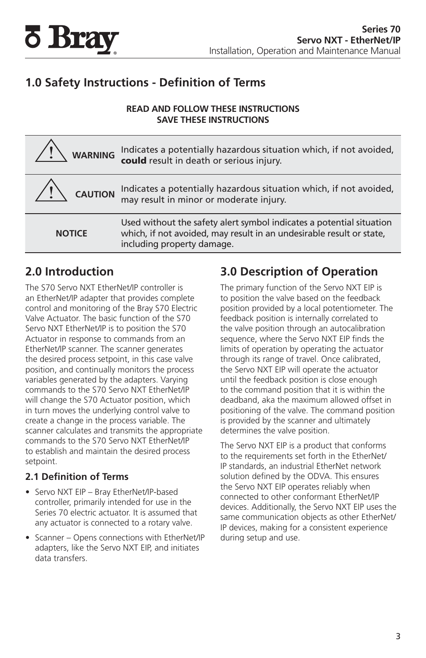<span id="page-4-0"></span>

## **1.0 Safety Instructions - Definition of Terms**

#### **READ AND FOLLOW THESE INSTRUCTIONS SAVE THESE INSTRUCTIONS**

| WARNING        | Indicates a potentially hazardous situation which, if not avoided, could result in death or serious injury.                                                                |
|----------------|----------------------------------------------------------------------------------------------------------------------------------------------------------------------------|
| <b>CAUTION</b> | Indicates a potentially hazardous situation which, if not avoided,<br>may result in minor or moderate injury.                                                              |
| <b>NOTICE</b>  | Used without the safety alert symbol indicates a potential situation<br>which, if not avoided, may result in an undesirable result or state,<br>including property damage. |

## **2.0 Introduction**

The S70 Servo NXT EtherNet/IP controller is an EtherNet/IP adapter that provides complete control and monitoring of the Bray S70 Electric Valve Actuator. The basic function of the S70 Servo NXT EtherNet/IP is to position the S70 Actuator in response to commands from an EtherNet/IP scanner. The scanner generates the desired process setpoint, in this case valve position, and continually monitors the process variables generated by the adapters. Varying commands to the S70 Servo NXT EtherNet/IP will change the S70 Actuator position, which in turn moves the underlying control valve to create a change in the process variable. The scanner calculates and transmits the appropriate commands to the S70 Servo NXT EtherNet/IP to establish and maintain the desired process setpoint.

#### **2.1 Definition of Terms**

- Servo NXT EIP Bray EtherNet/IP-based controller, primarily intended for use in the Series 70 electric actuator. It is assumed that any actuator is connected to a rotary valve.
- Scanner Opens connections with EtherNet/IP adapters, like the Servo NXT EIP, and initiates data transfers.

## **3.0 Description of Operation**

The primary function of the Servo NXT EIP is to position the valve based on the feedback position provided by a local potentiometer. The feedback position is internally correlated to the valve position through an autocalibration sequence, where the Servo NXT EIP finds the limits of operation by operating the actuator through its range of travel. Once calibrated, the Servo NXT EIP will operate the actuator until the feedback position is close enough to the command position that it is within the deadband, aka the maximum allowed offset in positioning of the valve. The command position is provided by the scanner and ultimately determines the valve position.

The Servo NXT EIP is a product that conforms to the requirements set forth in the EtherNet/ IP standards, an industrial EtherNet network solution defined by the ODVA. This ensures the Servo NXT EIP operates reliably when connected to other conformant EtherNet/IP devices. Additionally, the Servo NXT EIP uses the same communication objects as other EtherNet/ IP devices, making for a consistent experience during setup and use.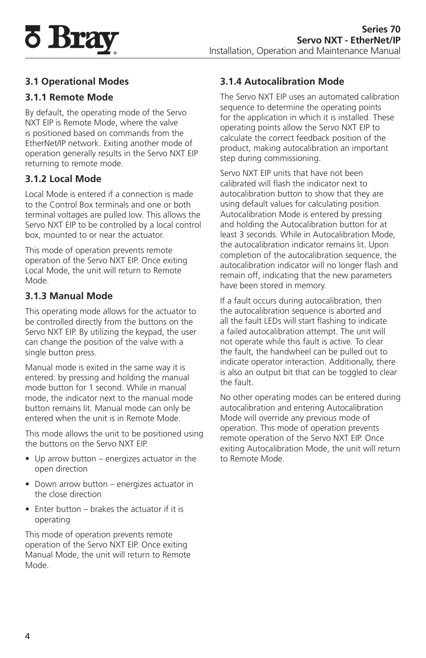<span id="page-5-0"></span>

#### **3.1 Operational Modes**

#### **3.1.1 Remote Mode**

By default, the operating mode of the Servo NXT EIP is Remote Mode, where the valve is positioned based on commands from the EtherNet/IP network. Exiting another mode of operation generally results in the Servo NXT EIP returning to remote mode.

#### **3.1.2 Local Mode**

Local Mode is entered if a connection is made to the Control Box terminals and one or both terminal voltages are pulled low. This allows the Servo NXT EIP to be controlled by a local control box, mounted to or near the actuator.

This mode of operation prevents remote operation of the Servo NXT EIP. Once exiting Local Mode, the unit will return to Remote Mode.

#### **3.1.3 Manual Mode**

This operating mode allows for the actuator to be controlled directly from the buttons on the Servo NXT EIP. By utilizing the keypad, the user can change the position of the valve with a single button press.

Manual mode is exited in the same way it is entered: by pressing and holding the manual mode button for 1 second. While in manual mode, the indicator next to the manual mode button remains lit. Manual mode can only be entered when the unit is in Remote Mode.

This mode allows the unit to be positioned using the buttons on the Servo NXT EIP.

- Up arrow button energizes actuator in the open direction
- Down arrow button energizes actuator in the close direction
- Enter button brakes the actuator if it is operating

This mode of operation prevents remote operation of the Servo NXT EIP. Once exiting Manual Mode, the unit will return to Remote Mode.

### **3.1.4 Autocalibration Mode**

The Servo NXT EIP uses an automated calibration sequence to determine the operating points for the application in which it is installed. These operating points allow the Servo NXT EIP to calculate the correct feedback position of the product, making autocalibration an important step during commissioning.

Servo NXT EIP units that have not been calibrated will flash the indicator next to autocalibration button to show that they are using default values for calculating position. Autocalibration Mode is entered by pressing and holding the Autocalibration button for at least 3 seconds. While in Autocalibration Mode, the autocalibration indicator remains lit. Upon completion of the autocalibration sequence, the autocalibration indicator will no longer flash and remain off, indicating that the new parameters have been stored in memory.

If a fault occurs during autocalibration, then the autocalibration sequence is aborted and all the fault LEDs will start flashing to indicate a failed autocalibration attempt. The unit will not operate while this fault is active. To clear the fault, the handwheel can be pulled out to indicate operator interaction. Additionally, there is also an output bit that can be toggled to clear the fault.

No other operating modes can be entered during autocalibration and entering Autocalibration Mode will override any previous mode of operation. This mode of operation prevents remote operation of the Servo NXT EIP. Once exiting Autocalibration Mode, the unit will return to Remote Mode.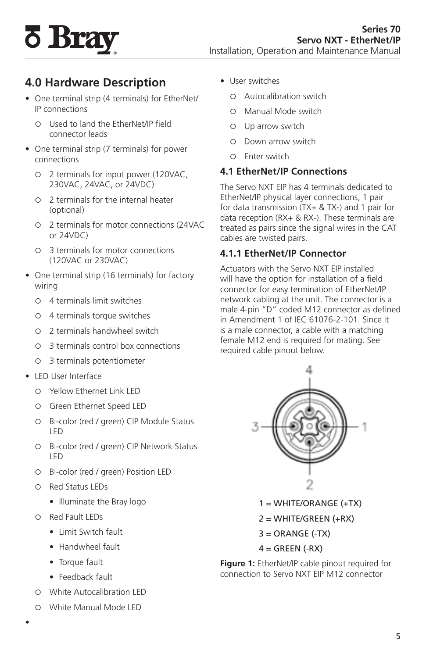# <span id="page-6-0"></span>**5 Bray**

# **4.0 Hardware Description**

- One terminal strip (4 terminals) for EtherNet/ IP connections
	- { Used to land the EtherNet/IP field connector leads
- One terminal strip (7 terminals) for power connections
	- { 2 terminals for input power (120VAC, 230VAC, 24VAC, or 24VDC)
	- { 2 terminals for the internal heater (optional)
	- { 2 terminals for motor connections (24VAC or 24VDC)
	- { 3 terminals for motor connections (120VAC or 230VAC)
- One terminal strip (16 terminals) for factory wiring
	- { 4 terminals limit switches
	- { 4 terminals torque switches
	- { 2 terminals handwheel switch
	- { 3 terminals control box connections
	- { 3 terminals potentiometer
- LED User Interface
	- { Yellow Ethernet Link LED
	- { Green Ethernet Speed LED
	- { Bi-color (red / green) CIP Module Status LED
	- { Bi-color (red / green) CIP Network Status LED
	- { Bi-color (red / green) Position LED
	- { Red Status LEDs
		- Illuminate the Bray logo
	- { Red Fault LEDs
		- Limit Switch fault
		- Handwheel fault
		- Torque fault
		- Feedback fault
	- { White Autocalibration LED
	- { White Manual Mode LED
- User switches
	- { Autocalibration switch
	- { Manual Mode switch
	- { Up arrow switch
	- { Down arrow switch
	- { Enter switch

#### **4.1 EtherNet/IP Connections**

The Servo NXT EIP has 4 terminals dedicated to EtherNet/IP physical layer connections, 1 pair for data transmission (TX+ & TX-) and 1 pair for data reception (RX+ & RX-). These terminals are treated as pairs since the signal wires in the CAT cables are twisted pairs.

#### **4.1.1 EtherNet/IP Connector**

Actuators with the Servo NXT EIP installed will have the option for installation of a field connector for easy termination of EtherNet/IP network cabling at the unit. The connector is a male 4-pin "D" coded M12 connector as defined in Amendment 1 of IEC 61076-2-101. Since it is a male connector, a cable with a matching female M12 end is required for mating. See required cable pinout below.



- 1 = WHITE/ORANGE (+TX)
- 2 = WHITE/GREEN (+RX)
- $3 = ORANGE$  (-TX)
- $4 = GREEN$  (-RX)

**Figure 1:** EtherNet/IP cable pinout required for connection to Servo NXT EIP M12 connector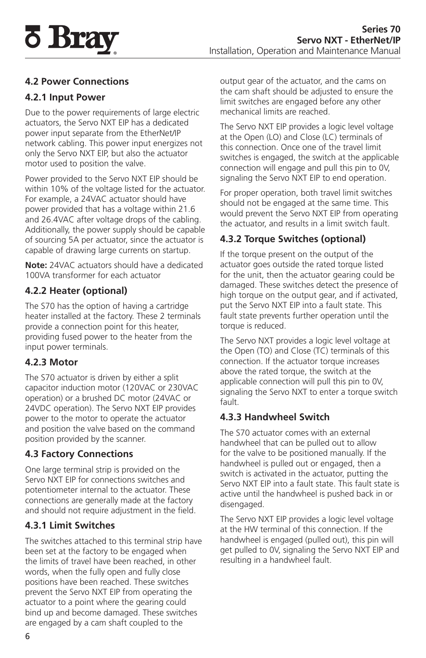<span id="page-7-0"></span>

### **4.2 Power Connections**

#### **4.2.1 Input Power**

Due to the power requirements of large electric actuators, the Servo NXT EIP has a dedicated power input separate from the EtherNet/IP network cabling. This power input energizes not only the Servo NXT EIP, but also the actuator motor used to position the valve.

Power provided to the Servo NXT EIP should be within 10% of the voltage listed for the actuator. For example, a 24VAC actuator should have power provided that has a voltage within 21.6 and 26.4VAC after voltage drops of the cabling. Additionally, the power supply should be capable of sourcing 5A per actuator, since the actuator is capable of drawing large currents on startup.

**Note:** 24VAC actuators should have a dedicated 100VA transformer for each actuator

#### **4.2.2 Heater (optional)**

The S70 has the option of having a cartridge heater installed at the factory. These 2 terminals provide a connection point for this heater, providing fused power to the heater from the input power terminals.

#### **4.2.3 Motor**

The S70 actuator is driven by either a split capacitor induction motor (120VAC or 230VAC operation) or a brushed DC motor (24VAC or 24VDC operation). The Servo NXT EIP provides power to the motor to operate the actuator and position the valve based on the command position provided by the scanner.

#### **4.3 Factory Connections**

One large terminal strip is provided on the Servo NXT EIP for connections switches and potentiometer internal to the actuator. These connections are generally made at the factory and should not require adjustment in the field.

#### **4.3.1 Limit Switches**

The switches attached to this terminal strip have been set at the factory to be engaged when the limits of travel have been reached, in other words, when the fully open and fully close positions have been reached. These switches prevent the Servo NXT EIP from operating the actuator to a point where the gearing could bind up and become damaged. These switches are engaged by a cam shaft coupled to the

output gear of the actuator, and the cams on the cam shaft should be adjusted to ensure the limit switches are engaged before any other mechanical limits are reached.

The Servo NXT EIP provides a logic level voltage at the Open (LO) and Close (LC) terminals of this connection. Once one of the travel limit switches is engaged, the switch at the applicable connection will engage and pull this pin to 0V, signaling the Servo NXT EIP to end operation.

For proper operation, both travel limit switches should not be engaged at the same time. This would prevent the Servo NXT EIP from operating the actuator, and results in a limit switch fault.

### **4.3.2 Torque Switches (optional)**

If the torque present on the output of the actuator goes outside the rated torque listed for the unit, then the actuator gearing could be damaged. These switches detect the presence of high torque on the output gear, and if activated, put the Servo NXT EIP into a fault state. This fault state prevents further operation until the torque is reduced.

The Servo NXT provides a logic level voltage at the Open (TO) and Close (TC) terminals of this connection. If the actuator torque increases above the rated torque, the switch at the applicable connection will pull this pin to 0V, signaling the Servo NXT to enter a torque switch fault.

#### **4.3.3 Handwheel Switch**

The S70 actuator comes with an external handwheel that can be pulled out to allow for the valve to be positioned manually. If the handwheel is pulled out or engaged, then a switch is activated in the actuator, putting the Servo NXT EIP into a fault state. This fault state is active until the handwheel is pushed back in or disengaged.

The Servo NXT EIP provides a logic level voltage at the HW terminal of this connection. If the handwheel is engaged (pulled out), this pin will get pulled to 0V, signaling the Servo NXT EIP and resulting in a handwheel fault.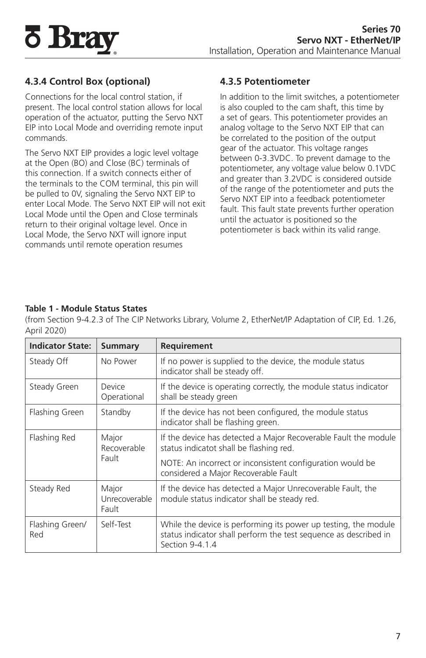<span id="page-8-0"></span>

## **4.3.4 Control Box (optional)**

Connections for the local control station, if present. The local control station allows for local operation of the actuator, putting the Servo NXT EIP into Local Mode and overriding remote input commands.

The Servo NXT EIP provides a logic level voltage at the Open (BO) and Close (BC) terminals of this connection. If a switch connects either of the terminals to the COM terminal, this pin will be pulled to 0V, signaling the Servo NXT EIP to enter Local Mode. The Servo NXT EIP will not exit Local Mode until the Open and Close terminals return to their original voltage level. Once in Local Mode, the Servo NXT will ignore input commands until remote operation resumes

#### **4.3.5 Potentiometer**

In addition to the limit switches, a potentiometer is also coupled to the cam shaft, this time by a set of gears. This potentiometer provides an analog voltage to the Servo NXT EIP that can be correlated to the position of the output gear of the actuator. This voltage ranges between 0-3.3VDC. To prevent damage to the potentiometer, any voltage value below 0.1VDC and greater than 3.2VDC is considered outside of the range of the potentiometer and puts the Servo NXT EIP into a feedback potentiometer fault. This fault state prevents further operation until the actuator is positioned so the potentiometer is back within its valid range.

#### **Table 1 - Module Status States**

(from Section 9-4.2.3 of The CIP Networks Library, Volume 2, EtherNet/IP Adaptation of CIP, Ed. 1.26, April 2020)

| <b>Indicator State:</b> | <b>Summary</b>                  | Requirement                                                                                                                                            |
|-------------------------|---------------------------------|--------------------------------------------------------------------------------------------------------------------------------------------------------|
| Steady Off              | No Power                        | If no power is supplied to the device, the module status<br>indicator shall be steady off.                                                             |
| Steady Green            | Device<br>Operational           | If the device is operating correctly, the module status indicator<br>shall be steady green                                                             |
| Flashing Green          | Standby                         | If the device has not been configured, the module status<br>indicator shall be flashing green.                                                         |
| Flashing Red            | Major<br>Recoverable            | If the device has detected a Major Recoverable Fault the module<br>status indicatot shall be flashing red.                                             |
|                         | Fault                           | NOTE: An incorrect or inconsistent configuration would be<br>considered a Major Recoverable Fault                                                      |
| Steady Red              | Major<br>Unrecoverable<br>Fault | If the device has detected a Major Unrecoverable Fault, the<br>module status indicator shall be steady red.                                            |
| Flashing Green/<br>Red  | Self-Test                       | While the device is performing its power up testing, the module<br>status indicator shall perform the test sequence as described in<br>Section 9-4.1.4 |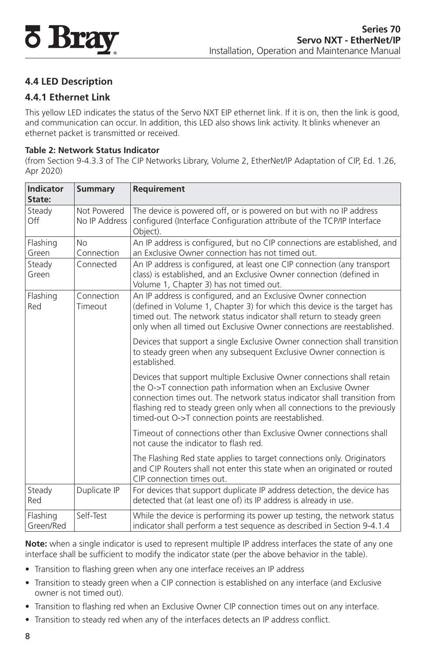<span id="page-9-0"></span>

### **4.4 LED Description**

#### **4.4.1 Ethernet Link**

This yellow LED indicates the status of the Servo NXT EIP ethernet link. If it is on, then the link is good, and communication can occur. In addition, this LED also shows link activity. It blinks whenever an ethernet packet is transmitted or received.

#### **Table 2: Network Status Indicator**

(from Section 9-4.3.3 of The CIP Networks Library, Volume 2, EtherNet/IP Adaptation of CIP, Ed. 1.26, Apr 2020)

| Indicator<br>State:   | <b>Summary</b>               | <b>Requirement</b>                                                                                                                                                                                                                                                                                                                                    |
|-----------------------|------------------------------|-------------------------------------------------------------------------------------------------------------------------------------------------------------------------------------------------------------------------------------------------------------------------------------------------------------------------------------------------------|
| Steady<br>Off         | Not Powered<br>No IP Address | The device is powered off, or is powered on but with no IP address<br>configured (Interface Configuration attribute of the TCP/IP Interface<br>Object).                                                                                                                                                                                               |
| Flashing<br>Green     | <b>No</b><br>Connection      | An IP address is configured, but no CIP connections are established, and<br>an Exclusive Owner connection has not timed out.                                                                                                                                                                                                                          |
| Steady<br>Green       | Connected                    | An IP address is configured, at least one CIP connection (any transport<br>class) is established, and an Exclusive Owner connection (defined in<br>Volume 1, Chapter 3) has not timed out.                                                                                                                                                            |
| Flashing<br>Red       | Connection<br>Timeout        | An IP address is configured, and an Exclusive Owner connection<br>(defined in Volume 1, Chapter 3) for which this device is the target has<br>timed out. The network status indicator shall return to steady green<br>only when all timed out Exclusive Owner connections are reestablished.                                                          |
|                       |                              | Devices that support a single Exclusive Owner connection shall transition<br>to steady green when any subsequent Exclusive Owner connection is<br>established                                                                                                                                                                                         |
|                       |                              | Devices that support multiple Exclusive Owner connections shall retain<br>the O->T connection path information when an Exclusive Owner<br>connection times out. The network status indicator shall transition from<br>flashing red to steady green only when all connections to the previously<br>timed-out O->T connection points are reestablished. |
|                       |                              | Timeout of connections other than Exclusive Owner connections shall<br>not cause the indicator to flash red.                                                                                                                                                                                                                                          |
|                       |                              | The Flashing Red state applies to target connections only. Originators<br>and CIP Routers shall not enter this state when an originated or routed<br>CIP connection times out.                                                                                                                                                                        |
| Steady<br>Red         | Duplicate IP                 | For devices that support duplicate IP address detection, the device has<br>detected that (at least one of) its IP address is already in use.                                                                                                                                                                                                          |
| Flashing<br>Green/Red | Self-Test                    | While the device is performing its power up testing, the network status<br>indicator shall perform a test sequence as described in Section 9-4.1.4                                                                                                                                                                                                    |

**Note:** when a single indicator is used to represent multiple IP address interfaces the state of any one interface shall be sufficient to modify the indicator state (per the above behavior in the table).

- Transition to flashing green when any one interface receives an IP address
- Transition to steady green when a CIP connection is established on any interface (and Exclusive owner is not timed out).
- Transition to flashing red when an Exclusive Owner CIP connection times out on any interface.
- Transition to steady red when any of the interfaces detects an IP address conflict.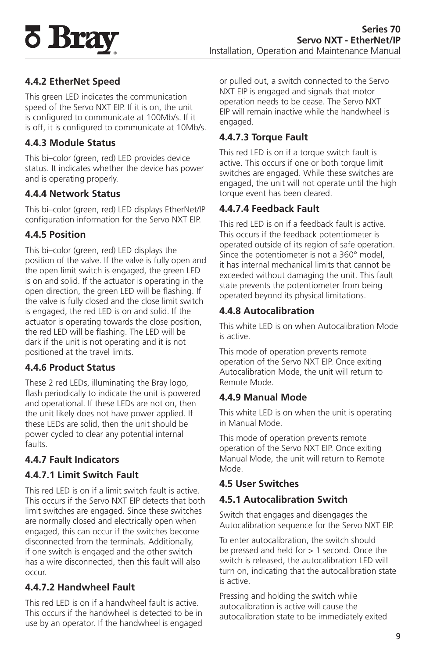<span id="page-10-0"></span>

### **4.4.2 EtherNet Speed**

This green LED indicates the communication speed of the Servo NXT EIP. If it is on, the unit is configured to communicate at 100Mb/s. If it is off, it is configured to communicate at 10Mb/s.

#### **4.4.3 Module Status**

This bi–color (green, red) LED provides device status. It indicates whether the device has power and is operating properly.

#### **4.4.4 Network Status**

This bi–color (green, red) LED displays EtherNet/IP configuration information for the Servo NXT EIP.

#### **4.4.5 Position**

This bi–color (green, red) LED displays the position of the valve. If the valve is fully open and the open limit switch is engaged, the green LED is on and solid. If the actuator is operating in the open direction, the green LED will be flashing. If the valve is fully closed and the close limit switch is engaged, the red LED is on and solid. If the actuator is operating towards the close position, the red LED will be flashing. The LED will be dark if the unit is not operating and it is not positioned at the travel limits.

#### **4.4.6 Product Status**

These 2 red LEDs, illuminating the Bray logo, flash periodically to indicate the unit is powered and operational. If these LEDs are not on, then the unit likely does not have power applied. If these LEDs are solid, then the unit should be power cycled to clear any potential internal faults.

#### **4.4.7 Fault Indicators**

#### **4.4.7.1 Limit Switch Fault**

This red LED is on if a limit switch fault is active. This occurs if the Servo NXT EIP detects that both limit switches are engaged. Since these switches are normally closed and electrically open when engaged, this can occur if the switches become disconnected from the terminals. Additionally, if one switch is engaged and the other switch has a wire disconnected, then this fault will also occur.

#### **4.4.7.2 Handwheel Fault**

This red LED is on if a handwheel fault is active. This occurs if the handwheel is detected to be in use by an operator. If the handwheel is engaged

or pulled out, a switch connected to the Servo NXT EIP is engaged and signals that motor operation needs to be cease. The Servo NXT EIP will remain inactive while the handwheel is engaged.

#### **4.4.7.3 Torque Fault**

This red LED is on if a torque switch fault is active. This occurs if one or both torque limit switches are engaged. While these switches are engaged, the unit will not operate until the high torque event has been cleared.

#### **4.4.7.4 Feedback Fault**

This red LED is on if a feedback fault is active. This occurs if the feedback potentiometer is operated outside of its region of safe operation. Since the potentiometer is not a 360° model, it has internal mechanical limits that cannot be exceeded without damaging the unit. This fault state prevents the potentiometer from being operated beyond its physical limitations.

#### **4.4.8 Autocalibration**

This white LED is on when Autocalibration Mode is active.

This mode of operation prevents remote operation of the Servo NXT EIP. Once exiting Autocalibration Mode, the unit will return to Remote Mode.

#### **4.4.9 Manual Mode**

This white LED is on when the unit is operating in Manual Mode.

This mode of operation prevents remote operation of the Servo NXT EIP. Once exiting Manual Mode, the unit will return to Remote Mode.

#### **4.5 User Switches**

#### **4.5.1 Autocalibration Switch**

Switch that engages and disengages the Autocalibration sequence for the Servo NXT EIP.

To enter autocalibration, the switch should be pressed and held for > 1 second. Once the switch is released, the autocalibration LED will turn on, indicating that the autocalibration state is active.

Pressing and holding the switch while autocalibration is active will cause the autocalibration state to be immediately exited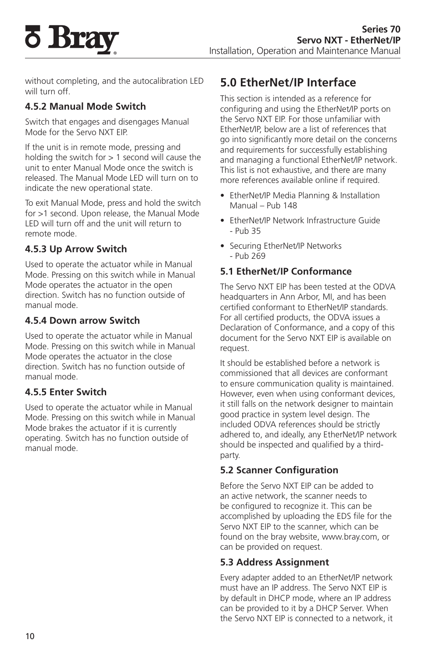<span id="page-11-0"></span>

without completing, and the autocalibration LED will turn off

#### **4.5.2 Manual Mode Switch**

Switch that engages and disengages Manual Mode for the Servo NXT EIP.

If the unit is in remote mode, pressing and holding the switch for  $> 1$  second will cause the unit to enter Manual Mode once the switch is released. The Manual Mode LED will turn on to indicate the new operational state.

To exit Manual Mode, press and hold the switch for >1 second. Upon release, the Manual Mode LED will turn off and the unit will return to remote mode.

#### **4.5.3 Up Arrow Switch**

Used to operate the actuator while in Manual Mode. Pressing on this switch while in Manual Mode operates the actuator in the open direction. Switch has no function outside of manual mode.

#### **4.5.4 Down arrow Switch**

Used to operate the actuator while in Manual Mode. Pressing on this switch while in Manual Mode operates the actuator in the close direction. Switch has no function outside of manual mode.

#### **4.5.5 Enter Switch**

Used to operate the actuator while in Manual Mode. Pressing on this switch while in Manual Mode brakes the actuator if it is currently operating. Switch has no function outside of manual mode.

# **5.0 EtherNet/IP Interface**

This section is intended as a reference for configuring and using the EtherNet/IP ports on the Servo NXT EIP. For those unfamiliar with EtherNet/IP, below are a list of references that go into significantly more detail on the concerns and requirements for successfully establishing and managing a functional EtherNet/IP network. This list is not exhaustive, and there are many more references available online if required.

- EtherNet/IP Media Planning & Installation Manual – Pub 148
- EtherNet/IP Network Infrastructure Guide - Pub 35
- Securing EtherNet/IP Networks - Pub 269

#### **5.1 EtherNet/IP Conformance**

The Servo NXT EIP has been tested at the ODVA headquarters in Ann Arbor, MI, and has been certified conformant to EtherNet/IP standards. For all certified products, the ODVA issues a Declaration of Conformance, and a copy of this document for the Servo NXT EIP is available on request.

It should be established before a network is commissioned that all devices are conformant to ensure communication quality is maintained. However, even when using conformant devices, it still falls on the network designer to maintain good practice in system level design. The included ODVA references should be strictly adhered to, and ideally, any EtherNet/IP network should be inspected and qualified by a thirdparty.

#### **5.2 Scanner Configuration**

Before the Servo NXT EIP can be added to an active network, the scanner needs to be configured to recognize it. This can be accomplished by uploading the EDS file for the Servo NXT EIP to the scanner, which can be found on the bray website, www.bray.com, or can be provided on request.

#### **5.3 Address Assignment**

Every adapter added to an EtherNet/IP network must have an IP address. The Servo NXT EIP is by default in DHCP mode, where an IP address can be provided to it by a DHCP Server. When the Servo NXT EIP is connected to a network, it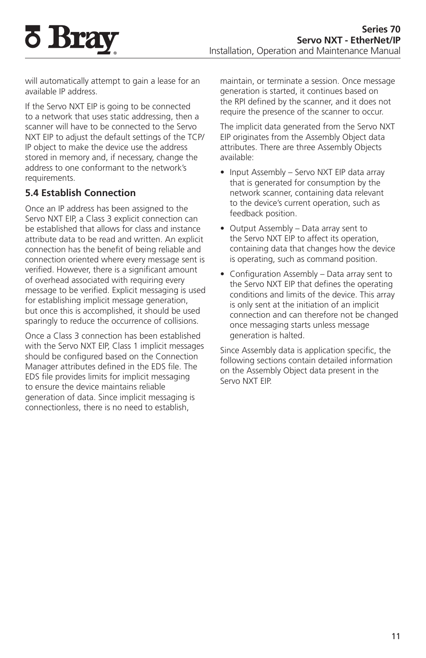will automatically attempt to gain a lease for an available IP address.

If the Servo NXT EIP is going to be connected to a network that uses static addressing, then a scanner will have to be connected to the Servo NXT EIP to adjust the default settings of the TCP/ IP object to make the device use the address stored in memory and, if necessary, change the address to one conformant to the network's requirements.

#### **5.4 Establish Connection**

<span id="page-12-0"></span>**5 Bray** 

Once an IP address has been assigned to the Servo NXT EIP, a Class 3 explicit connection can be established that allows for class and instance attribute data to be read and written. An explicit connection has the benefit of being reliable and connection oriented where every message sent is verified. However, there is a significant amount of overhead associated with requiring every message to be verified. Explicit messaging is used for establishing implicit message generation, but once this is accomplished, it should be used sparingly to reduce the occurrence of collisions.

Once a Class 3 connection has been established with the Servo NXT EIP, Class 1 implicit messages should be configured based on the Connection Manager attributes defined in the EDS file. The EDS file provides limits for implicit messaging to ensure the device maintains reliable generation of data. Since implicit messaging is connectionless, there is no need to establish,

maintain, or terminate a session. Once message generation is started, it continues based on the RPI defined by the scanner, and it does not require the presence of the scanner to occur.

The implicit data generated from the Servo NXT EIP originates from the Assembly Object data attributes. There are three Assembly Objects available:

- Input Assembly Servo NXT EIP data array that is generated for consumption by the network scanner, containing data relevant to the device's current operation, such as feedback position.
- Output Assembly Data array sent to the Servo NXT EIP to affect its operation, containing data that changes how the device is operating, such as command position.
- Configuration Assembly Data array sent to the Servo NXT EIP that defines the operating conditions and limits of the device. This array is only sent at the initiation of an implicit connection and can therefore not be changed once messaging starts unless message generation is halted.

Since Assembly data is application specific, the following sections contain detailed information on the Assembly Object data present in the Servo NXT EIP.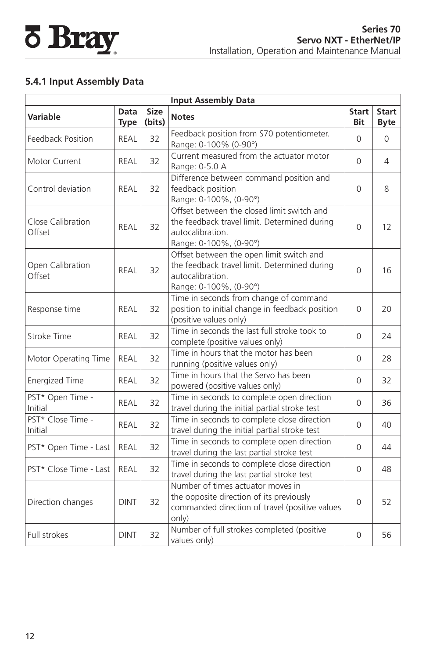## <span id="page-13-0"></span>**5.4.1 Input Assembly Data**

| <b>Input Assembly Data</b>   |                     |                       |                                                                                                                                          |                     |                             |  |  |
|------------------------------|---------------------|-----------------------|------------------------------------------------------------------------------------------------------------------------------------------|---------------------|-----------------------------|--|--|
| <b>Variable</b>              | Data<br><b>Type</b> | <b>Size</b><br>(bits) | <b>Notes</b>                                                                                                                             | <b>Start</b><br>Bit | <b>Start</b><br><b>Byte</b> |  |  |
| Feedback Position            | REAL                | 32                    | Feedback position from S70 potentiometer.<br>Range: 0-100% (0-90°)                                                                       | 0                   | $\Omega$                    |  |  |
| Motor Current                | REAL                | 32                    | Current measured from the actuator motor<br>Range: 0-5.0 A                                                                               | 0                   | 4                           |  |  |
| Control deviation            | REAL                | 32                    | Difference between command position and<br>feedback position<br>Range: 0-100%, (0-90°)                                                   | 0                   | 8                           |  |  |
| Close Calibration<br>Offset  | <b>REAL</b>         | 32                    | Offset between the closed limit switch and<br>the feedback travel limit. Determined during<br>autocalibration.<br>Range: 0-100%, (0-90°) | 0                   | 12                          |  |  |
| Open Calibration<br>Offset   | REAL                | 32                    | Offset between the open limit switch and<br>the feedback travel limit. Determined during<br>autocalibration.<br>Range: 0-100%, (0-90°)   | $\Omega$            | 16                          |  |  |
| Response time                | REAL                | 32                    | Time in seconds from change of command<br>position to initial change in feedback position<br>(positive values only)                      | $\Omega$            | 20                          |  |  |
| Stroke Time                  | <b>REAL</b>         | 32                    | Time in seconds the last full stroke took to<br>complete (positive values only)                                                          | $\Omega$            | 24                          |  |  |
| Motor Operating Time         | <b>REAL</b>         | 32                    | Time in hours that the motor has been<br>running (positive values only)                                                                  | 0                   | 28                          |  |  |
| <b>Energized Time</b>        | REAL                | 32                    | Time in hours that the Servo has been<br>powered (positive values only)                                                                  | 0                   | 32                          |  |  |
| PST* Open Time -<br>Initial  | <b>REAL</b>         | 32                    | Time in seconds to complete open direction<br>travel during the initial partial stroke test                                              | 0                   | 36                          |  |  |
| PST* Close Time -<br>Initial | REAL                | 32                    | Time in seconds to complete close direction<br>travel during the initial partial stroke test                                             | 0                   | 40                          |  |  |
| PST* Open Time - Last        | REAL                | 32                    | Time in seconds to complete open direction<br>travel during the last partial stroke test                                                 | $\Omega$            | 44                          |  |  |
| PST* Close Time - Last       | <b>REAL</b>         | 32                    | Time in seconds to complete close direction<br>travel during the last partial stroke test                                                | 0                   | 48                          |  |  |
| Direction changes            | <b>DINT</b>         | 32                    | Number of times actuator moves in<br>the opposite direction of its previously<br>commanded direction of travel (positive values<br>only) | $\Omega$            | 52                          |  |  |
| Full strokes                 | <b>DINT</b>         | 32                    | Number of full strokes completed (positive<br>values only)                                                                               | 0                   | 56                          |  |  |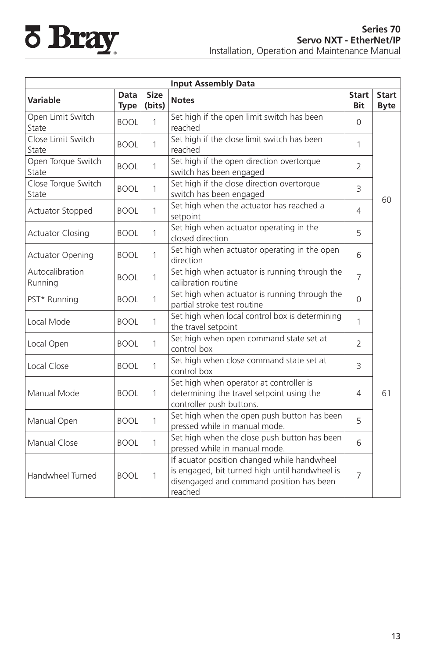|                              | <b>Input Assembly Data</b> |                       |                                                                                                                                                      |                            |                             |  |  |  |  |
|------------------------------|----------------------------|-----------------------|------------------------------------------------------------------------------------------------------------------------------------------------------|----------------------------|-----------------------------|--|--|--|--|
| Variable                     | Data<br><b>Type</b>        | <b>Size</b><br>(bits) | <b>Notes</b>                                                                                                                                         | <b>Start</b><br><b>Bit</b> | <b>Start</b><br><b>Byte</b> |  |  |  |  |
| Open Limit Switch<br>State   | <b>BOOL</b>                | 1                     | Set high if the open limit switch has been<br>reached                                                                                                | $\Omega$                   |                             |  |  |  |  |
| Close Limit Switch<br>State  | <b>BOOL</b>                | 1                     | Set high if the close limit switch has been<br>reached                                                                                               | 1                          |                             |  |  |  |  |
| Open Torque Switch<br>State  | <b>BOOL</b>                | 1                     | Set high if the open direction overtorque<br>switch has been engaged                                                                                 | $\mathcal{P}$              |                             |  |  |  |  |
| Close Torque Switch<br>State | <b>BOOL</b>                | $\mathbf{1}$          | Set high if the close direction overtorque<br>switch has been engaged                                                                                | 3                          |                             |  |  |  |  |
| <b>Actuator Stopped</b>      | <b>BOOL</b>                | $\mathbf{1}$          | Set high when the actuator has reached a<br>setpoint                                                                                                 | 4                          | 60                          |  |  |  |  |
| <b>Actuator Closing</b>      | <b>BOOL</b>                | $\mathbf{1}$          | Set high when actuator operating in the<br>closed direction                                                                                          | 5                          |                             |  |  |  |  |
| <b>Actuator Opening</b>      | <b>BOOL</b>                | 1                     | Set high when actuator operating in the open<br>direction                                                                                            | 6                          |                             |  |  |  |  |
| Autocalibration<br>Running   | <b>BOOL</b>                | $\mathbf{1}$          | Set high when actuator is running through the<br>calibration routine                                                                                 | $\overline{7}$             |                             |  |  |  |  |
| PST* Running                 | <b>BOOL</b>                | $\mathbf{1}$          | Set high when actuator is running through the<br>partial stroke test routine                                                                         | $\overline{0}$             |                             |  |  |  |  |
| Local Mode                   | <b>BOOL</b>                | 1                     | Set high when local control box is determining<br>the travel setpoint                                                                                | 1                          |                             |  |  |  |  |
| Local Open                   | <b>BOOL</b>                | 1                     | Set high when open command state set at<br>control box                                                                                               | $\overline{2}$             |                             |  |  |  |  |
| Local Close                  | <b>BOOL</b>                | $\mathbf{1}$          | Set high when close command state set at<br>control box                                                                                              | 3                          |                             |  |  |  |  |
| Manual Mode                  | <b>BOOL</b>                | 1                     | Set high when operator at controller is<br>determining the travel setpoint using the<br>controller push buttons.                                     | 4                          | 61                          |  |  |  |  |
| Manual Open                  | <b>BOOL</b>                | $\mathbf{1}$          | Set high when the open push button has been<br>pressed while in manual mode.                                                                         | 5                          |                             |  |  |  |  |
| Manual Close                 | <b>BOOL</b>                | $\mathbf{1}$          | Set high when the close push button has been<br>pressed while in manual mode.                                                                        | 6                          |                             |  |  |  |  |
| Handwheel Turned             | <b>BOOL</b>                | 1                     | If acuator position changed while handwheel<br>is engaged, bit turned high until handwheel is<br>disengaged and command position has been<br>reached | $\overline{7}$             |                             |  |  |  |  |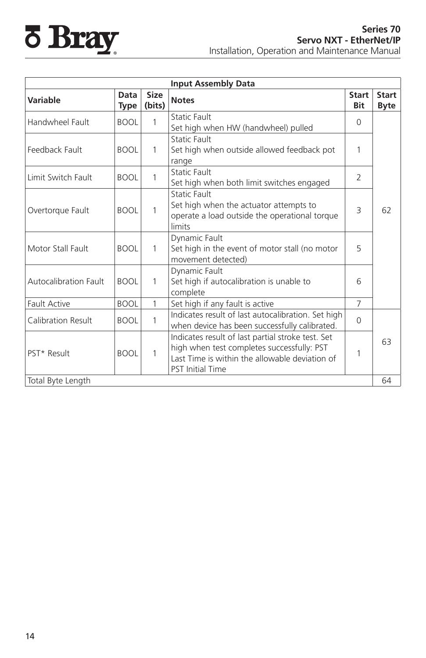|                              |                     |                | <b>Input Assembly Data</b>                                                                                                                                                   |                     |                             |
|------------------------------|---------------------|----------------|------------------------------------------------------------------------------------------------------------------------------------------------------------------------------|---------------------|-----------------------------|
| <b>Variable</b>              | Data<br><b>Type</b> | Size<br>(bits) | <b>Notes</b>                                                                                                                                                                 | <b>Start</b><br>Bit | <b>Start</b><br><b>Byte</b> |
| Handwheel Fault              | <b>BOOL</b>         | 1              | <b>Static Fault</b><br>Set high when HW (handwheel) pulled                                                                                                                   | $\Omega$            |                             |
| Feedback Fault               | <b>BOOL</b>         | $\mathbf{1}$   | <b>Static Fault</b><br>Set high when outside allowed feedback pot<br>range                                                                                                   | 1                   |                             |
| Limit Switch Fault           | <b>BOOL</b>         | 1              | <b>Static Fault</b><br>Set high when both limit switches engaged                                                                                                             | 2                   |                             |
| Overtorque Fault             | <b>BOOL</b>         | 1              | <b>Static Fault</b><br>Set high when the actuator attempts to<br>operate a load outside the operational torque<br>limits                                                     | 3                   | 62                          |
| Motor Stall Fault            | <b>BOOL</b>         | $\mathbf{1}$   | Dynamic Fault<br>Set high in the event of motor stall (no motor<br>movement detected)                                                                                        | 5                   |                             |
| <b>Autocalibration Fault</b> | <b>BOOL</b>         | $\mathbf{1}$   | Dynamic Fault<br>Set high if autocalibration is unable to<br>complete                                                                                                        | 6                   |                             |
| <b>Fault Active</b>          | <b>BOOL</b>         | $\mathbf{1}$   | Set high if any fault is active                                                                                                                                              | $\overline{7}$      |                             |
| Calibration Result           | <b>BOOL</b>         | $\mathbf{1}$   | Indicates result of last autocalibration. Set high<br>when device has been successfully calibrated.                                                                          | $\Omega$            |                             |
| PST* Result                  | <b>BOOL</b>         | $\mathbf{1}$   | Indicates result of last partial stroke test. Set<br>high when test completes successfully: PST<br>Last Time is within the allowable deviation of<br><b>PST</b> Initial Time | 1                   | 63                          |
| Total Byte Length            |                     |                |                                                                                                                                                                              |                     | 64                          |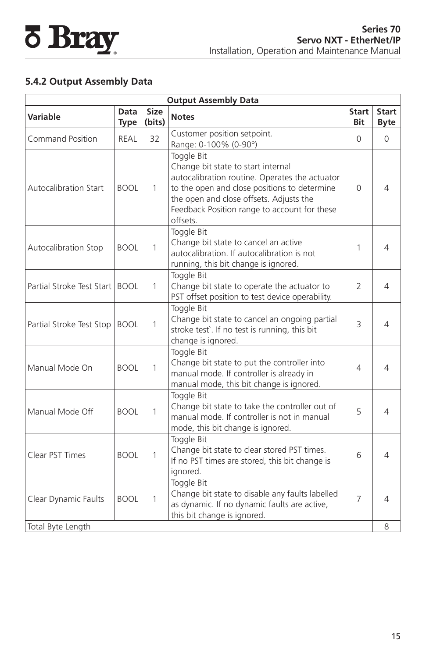## <span id="page-16-0"></span>**5.4.2 Output Assembly Data**

| <b>Output Assembly Data</b>    |                     |                       |                                                                                                                                                                                                                                                           |                     |                             |  |  |  |
|--------------------------------|---------------------|-----------------------|-----------------------------------------------------------------------------------------------------------------------------------------------------------------------------------------------------------------------------------------------------------|---------------------|-----------------------------|--|--|--|
| <b>Variable</b>                | Data<br><b>Type</b> | <b>Size</b><br>(bits) | <b>Notes</b>                                                                                                                                                                                                                                              | <b>Start</b><br>Bit | <b>Start</b><br><b>Byte</b> |  |  |  |
| <b>Command Position</b>        | REAL                | 32                    | Customer position setpoint.<br>Range: 0-100% (0-90°)                                                                                                                                                                                                      | $\Omega$            | $\Omega$                    |  |  |  |
| <b>Autocalibration Start</b>   | <b>BOOL</b>         | $\mathbf{1}$          | Toggle Bit<br>Change bit state to start internal<br>autocalibration routine. Operates the actuator<br>to the open and close positions to determine<br>the open and close offsets. Adjusts the<br>Feedback Position range to account for these<br>offsets. | 0                   | 4                           |  |  |  |
| <b>Autocalibration Stop</b>    | <b>BOOL</b>         | $\mathbf{1}$          | Toggle Bit<br>Change bit state to cancel an active<br>autocalibration. If autocalibration is not<br>running, this bit change is ignored.                                                                                                                  | 1                   | 4                           |  |  |  |
| Partial Stroke Test Start BOOL |                     | $\mathbf{1}$          | Toggle Bit<br>Change bit state to operate the actuator to<br>PST offset position to test device operability.                                                                                                                                              | $\overline{2}$      | 4                           |  |  |  |
| Partial Stroke Test Stop       | <b>BOOL</b>         | $\mathbf{1}$          | Toggle Bit<br>Change bit state to cancel an ongoing partial<br>stroke test`. If no test is running, this bit<br>change is ignored.                                                                                                                        | 3                   | 4                           |  |  |  |
| Manual Mode On                 | <b>BOOL</b>         | $\mathbf{1}$          | Toggle Bit<br>Change bit state to put the controller into<br>manual mode. If controller is already in<br>manual mode, this bit change is ignored.                                                                                                         | 4                   | 4                           |  |  |  |
| Manual Mode Off                | <b>BOOL</b>         | $\mathbf{1}$          | Toggle Bit<br>Change bit state to take the controller out of<br>manual mode. If controller is not in manual<br>mode, this bit change is ignored.                                                                                                          | 5                   | 4                           |  |  |  |
| Clear PST Times                | <b>BOOL</b>         | $\mathbf{1}$          | Toggle Bit<br>Change bit state to clear stored PST times.<br>If no PST times are stored, this bit change is<br>ignored.                                                                                                                                   | 6                   | 4                           |  |  |  |
| Clear Dynamic Faults           | <b>BOOL</b>         | $\mathbf{1}$          | Toggle Bit<br>Change bit state to disable any faults labelled<br>as dynamic. If no dynamic faults are active,<br>this bit change is ignored.                                                                                                              | 7                   | 4                           |  |  |  |
| Total Byte Length              |                     |                       |                                                                                                                                                                                                                                                           |                     | 8                           |  |  |  |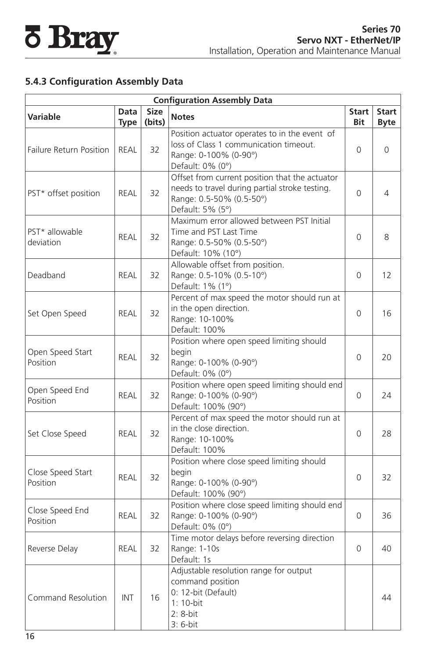## <span id="page-17-0"></span>**5.4.3 Configuration Assembly Data**

| <b>Configuration Assembly Data</b> |                            |                       |                                                                                                                                                  |                     |                             |  |  |
|------------------------------------|----------------------------|-----------------------|--------------------------------------------------------------------------------------------------------------------------------------------------|---------------------|-----------------------------|--|--|
| <b>Variable</b>                    | <b>Data</b><br><b>Type</b> | <b>Size</b><br>(bits) | <b>Notes</b>                                                                                                                                     | <b>Start</b><br>Bit | <b>Start</b><br><b>Byte</b> |  |  |
| <b>Failure Return Position</b>     | REAL                       | 32                    | Position actuator operates to in the event of<br>loss of Class 1 communication timeout.<br>Range: 0-100% (0-90°)<br>Default: 0% (0°)             | $\Omega$            | 0                           |  |  |
| PST* offset position               | REAL                       | 32                    | Offset from current position that the actuator<br>needs to travel during partial stroke testing.<br>Range: 0.5-50% (0.5-50°)<br>Default: 5% (5°) | $\overline{0}$      | 4                           |  |  |
| PST* allowable<br>deviation        | REAL                       | 32                    | Maximum error allowed between PST Initial<br>Time and PST Last Time<br>Range: 0.5-50% (0.5-50°)<br>Default: 10% (10°)                            | $\Omega$            | 8                           |  |  |
| Deadband                           | REAL                       | 32                    | Allowable offset from position.<br>Range: 0.5-10% (0.5-10°)<br>Default: 1% (1°)                                                                  | $\Omega$            | 12                          |  |  |
| Set Open Speed                     | <b>REAL</b>                | 32                    | Percent of max speed the motor should run at<br>in the open direction.<br>Range: 10-100%<br>Default: 100%                                        | $\mathbf 0$         | 16                          |  |  |
| Open Speed Start<br>Position       | <b>REAL</b>                | 32                    | Position where open speed limiting should<br>begin<br>Range: 0-100% (0-90°)<br>Default: 0% (0°)                                                  | $\Omega$            | 20                          |  |  |
| Open Speed End<br>Position         | <b>REAL</b>                | 32                    | Position where open speed limiting should end<br>Range: 0-100% (0-90°)<br>Default: 100% (90°)                                                    | $\mathbf 0$         | 24                          |  |  |
| Set Close Speed                    | REAL                       | 32                    | Percent of max speed the motor should run at<br>in the close direction.<br>Range: 10-100%<br>Default: 100%                                       | $\overline{0}$      | 28                          |  |  |
| Close Speed Start<br>Position      | <b>REAL</b>                | 32                    | Position where close speed limiting should<br>begin<br>Range: 0-100% (0-90°)<br>Default: 100% (90°)                                              | $\mathbf 0$         | 32                          |  |  |
| Close Speed End<br>Position        | REAL                       | 32                    | Position where close speed limiting should end<br>Range: 0-100% (0-90°)<br>Default: 0% (0°)                                                      | $\Omega$            | 36                          |  |  |
| Reverse Delay                      | REAL                       | 32                    | Time motor delays before reversing direction<br>Range: 1-10s<br>Default: 1s                                                                      | $\Omega$            | 40                          |  |  |
| Command Resolution                 | INT                        | 16                    | Adjustable resolution range for output<br>command position<br>0: 12-bit (Default)<br>1: 10-bit<br>$2:8-bit$<br>3: 6-bit                          |                     | 44                          |  |  |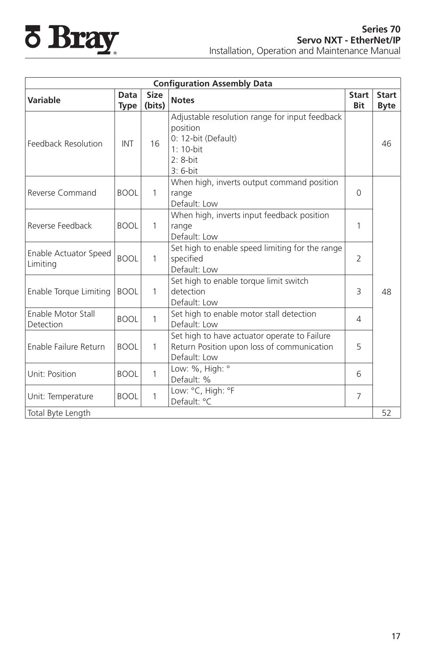# **8 Bray**

|                                   |                     |                | <b>Configuration Assembly Data</b>                                                                                            |                     |                             |
|-----------------------------------|---------------------|----------------|-------------------------------------------------------------------------------------------------------------------------------|---------------------|-----------------------------|
| <b>Variable</b>                   | Data<br><b>Type</b> | Size<br>(bits) | <b>Notes</b>                                                                                                                  | <b>Start</b><br>Bit | <b>Start</b><br><b>Byte</b> |
| Feedback Resolution               | INT                 | 16             | Adjustable resolution range for input feedback<br>position<br>0: 12-bit (Default)<br>$1: 10-hit$<br>$2: 8$ -bit<br>$3:6$ -bit |                     | 46                          |
| Reverse Command                   | <b>BOOL</b>         | $\mathbf{1}$   | When high, inverts output command position<br>range<br>Default: Low                                                           | $\Omega$            |                             |
| Reverse Feedback                  | <b>BOOL</b>         | 1              | When high, inverts input feedback position<br>range<br>Default: Low                                                           | 1                   |                             |
| Enable Actuator Speed<br>Limiting | <b>BOOL</b>         | 1              | Set high to enable speed limiting for the range<br>specified<br>Default: Low                                                  | $\mathfrak{D}$      |                             |
| Enable Torque Limiting            | <b>BOOL</b>         | 1              | Set high to enable torque limit switch<br>detection<br>Default: Low                                                           | 3                   | 48                          |
| Enable Motor Stall<br>Detection   | <b>BOOL</b>         | 1              | Set high to enable motor stall detection<br>Default: Low                                                                      | 4                   |                             |
| Enable Failure Return             | <b>BOOL</b>         | 1              | Set high to have actuator operate to Failure<br>Return Position upon loss of communication<br>Default: Low                    | 5                   |                             |
| Unit: Position                    | <b>BOOL</b>         | 1              | Low: %, High: °<br>Default: %                                                                                                 | 6                   |                             |
| Unit: Temperature                 | <b>BOOL</b>         | 1              | Low: °C, High: °F<br>Default: °C                                                                                              | 7                   |                             |
| Total Byte Length                 |                     |                |                                                                                                                               |                     | 52                          |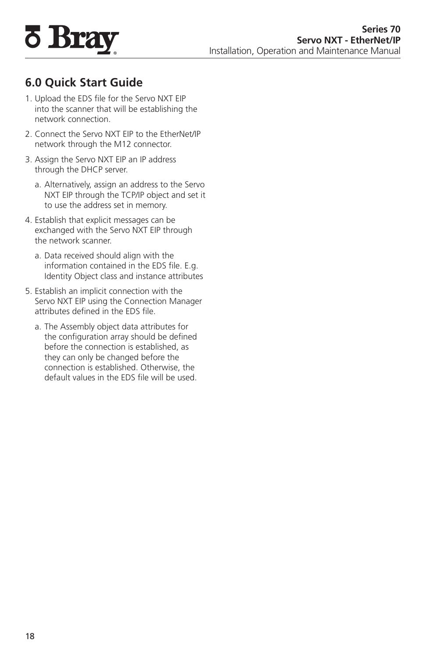<span id="page-19-0"></span>

## **6.0 Quick Start Guide**

- 1. Upload the EDS file for the Servo NXT EIP into the scanner that will be establishing the network connection.
- 2. Connect the Servo NXT EIP to the EtherNet/IP network through the M12 connector.
- 3. Assign the Servo NXT EIP an IP address through the DHCP server.
	- a. Alternatively, assign an address to the Servo NXT EIP through the TCP/IP object and set it to use the address set in memory.
- 4. Establish that explicit messages can be exchanged with the Servo NXT EIP through the network scanner.
	- a. Data received should align with the information contained in the EDS file. E.g. Identity Object class and instance attributes
- 5. Establish an implicit connection with the Servo NXT EIP using the Connection Manager attributes defined in the EDS file.
	- a. The Assembly object data attributes for the configuration array should be defined before the connection is established, as they can only be changed before the connection is established. Otherwise, the default values in the EDS file will be used.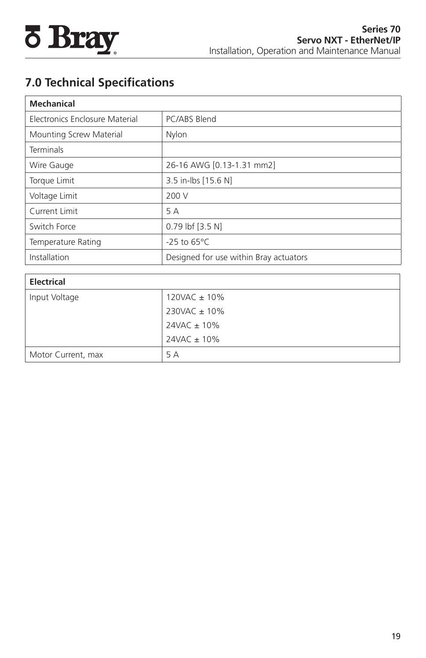<span id="page-20-0"></span>

## **7.0 Technical Specifications**

| <b>Mechanical</b>              |                                        |
|--------------------------------|----------------------------------------|
| Electronics Enclosure Material | PC/ABS Blend                           |
| Mounting Screw Material        | Nylon                                  |
| <b>Terminals</b>               |                                        |
| Wire Gauge                     | 26-16 AWG [0.13-1.31 mm2]              |
| Torque Limit                   | 3.5 in-lbs [15.6 N]                    |
| Voltage Limit                  | 200 V                                  |
| Current Limit                  | 5 A                                    |
| Switch Force                   | 0.79 lbf [3.5 N]                       |
| Temperature Rating             | $-25$ to 65°C                          |
| Installation                   | Designed for use within Bray actuators |

| <b>Electrical</b>  |                  |
|--------------------|------------------|
| Input Voltage      | 120VAC ± 10%     |
|                    | 230VAC ± 10%     |
|                    | $24VAC \pm 10\%$ |
|                    | $24VAC \pm 10\%$ |
| Motor Current, max | 5 A              |